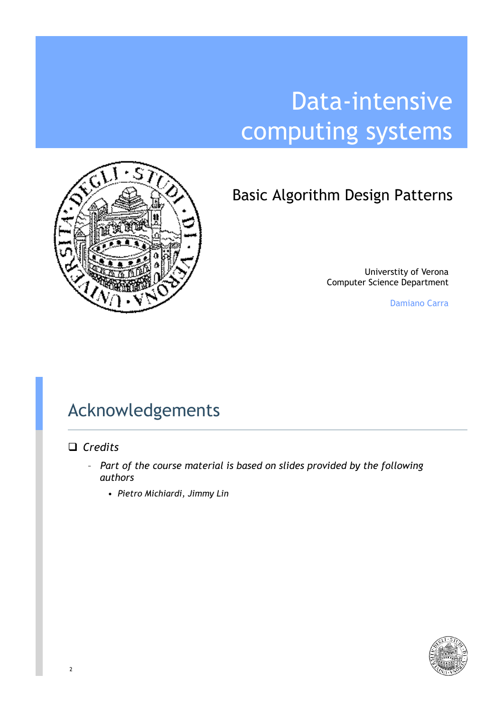# Data-intensive computing systems



### Basic Algorithm Design Patterns

Universtity of Verona Computer Science Department

Damiano Carra

### Acknowledgements

#### □ *Credits*

- *Part of the course material is based on slides provided by the following authors*
	- *Pietro Michiardi, Jimmy Lin*

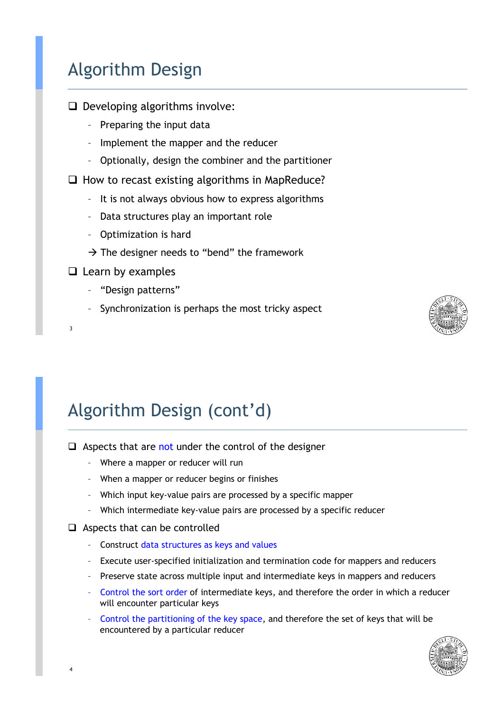### Algorithm Design

- $\Box$  Developing algorithms involve:
	- Preparing the input data
	- Implement the mapper and the reducer
	- Optionally, design the combiner and the partitioner

 $\Box$  How to recast existing algorithms in MapReduce?

- It is not always obvious how to express algorithms
- Data structures play an important role
- Optimization is hard
- $\rightarrow$  The designer needs to "bend" the framework

#### $\Box$  Learn by examples

3

- "Design patterns"
- Synchronization is perhaps the most tricky aspect



### Algorithm Design (cont'd)

- $\Box$  Aspects that are not under the control of the designer
	- Where a mapper or reducer will run
	- When a mapper or reducer begins or finishes
	- Which input key-value pairs are processed by a specific mapper
	- Which intermediate key-value pairs are processed by a specific reducer

#### $\Box$  Aspects that can be controlled

- Construct data structures as keys and values
- Execute user-specified initialization and termination code for mappers and reducers
- Preserve state across multiple input and intermediate keys in mappers and reducers
- Control the sort order of intermediate keys, and therefore the order in which a reducer will encounter particular keys
- Control the partitioning of the key space, and therefore the set of keys that will be encountered by a particular reducer

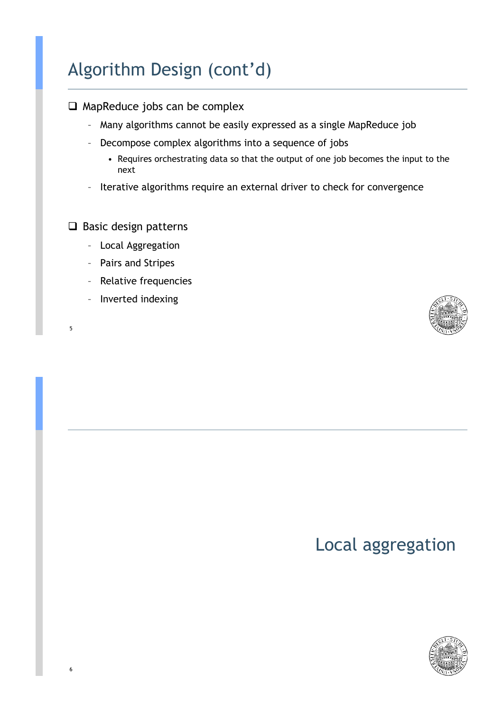### Algorithm Design (cont'd)

#### $\Box$  MapReduce jobs can be complex

- Many algorithms cannot be easily expressed as a single MapReduce job
- Decompose complex algorithms into a sequence of jobs
	- Requires orchestrating data so that the output of one job becomes the input to the next
- Iterative algorithms require an external driver to check for convergence

#### $\Box$  Basic design patterns

- Local Aggregation
- Pairs and Stripes
- Relative frequencies
- Inverted indexing





### Local aggregation

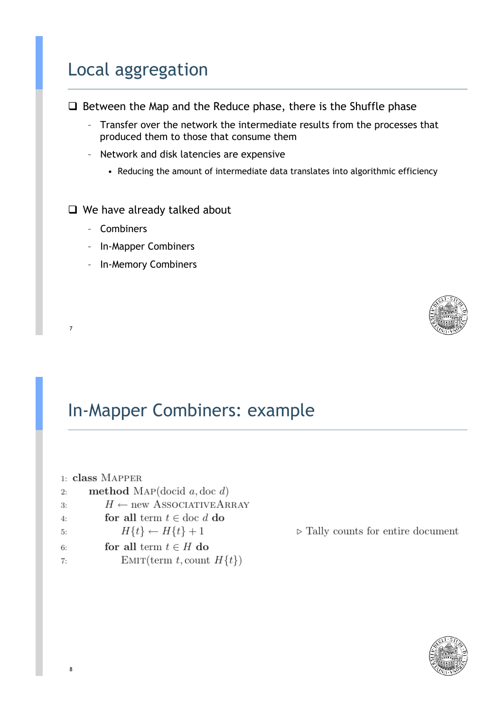### Local aggregation

 $\Box$  Between the Map and the Reduce phase, there is the Shuffle phase

- Transfer over the network the intermediate results from the processes that produced them to those that consume them
- Network and disk latencies are expensive
	- Reducing the amount of intermediate data translates into algorithmic efficiency

#### $\Box$  We have already talked about

– Combiners

7

8

- In-Mapper Combiners
- In-Memory Combiners

### In-Mapper Combiners: example

- $1: class MAPPER$ method MAP(docid  $a,$  doc  $d$ )  $\overline{2}$ :  $H \leftarrow$  new ASSOCIATIVEARRAY 3: for all term  $t \in$  doc d do  $4:$  $H\{t\} \leftarrow H\{t\} + 1$ 5: for all term  $t \in H$  do 6:
- EMIT(term t, count  $H\{t\}$ )  $7:$



 $\triangleright$  Tally counts for entire document

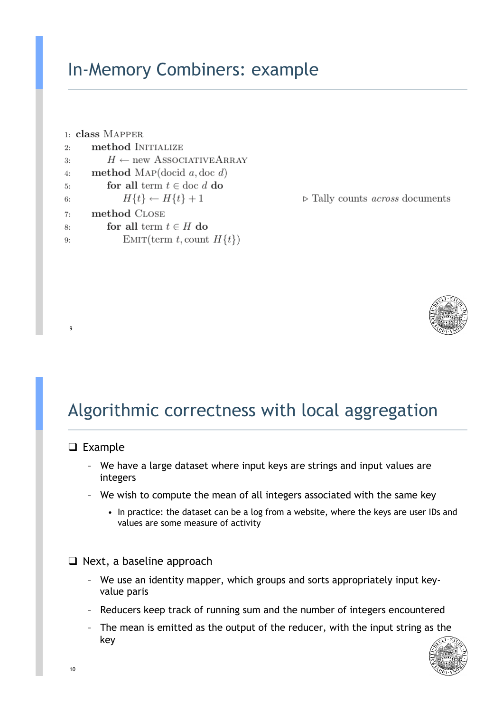### In-Memory Combiners: example

```
1: class MAPPERmethod INITIALIZE
2.5H \leftarrow new ASSOCIATIVEARRAY\mathcal{R}method MAP(docid a, doc d)
4:for all term t \in \text{doc } d do
5.
              H\{t\} \leftarrow H\{t\} + 16:
      method CLOSE
7:for all term t \in H do
8:
              EMIT(term t, count H\{t\})
Q
```
 $\triangleright$  Tally counts *across* documents



### Algorithmic correctness with local aggregation

#### $\Box$  Example

9

- We have a large dataset where input keys are strings and input values are integers
- We wish to compute the mean of all integers associated with the same key
	- In practice: the dataset can be a log from a website, where the keys are user IDs and values are some measure of activity

#### $\Box$  Next, a baseline approach

- We use an identity mapper, which groups and sorts appropriately input keyvalue paris
- Reducers keep track of running sum and the number of integers encountered
- The mean is emitted as the output of the reducer, with the input string as the key

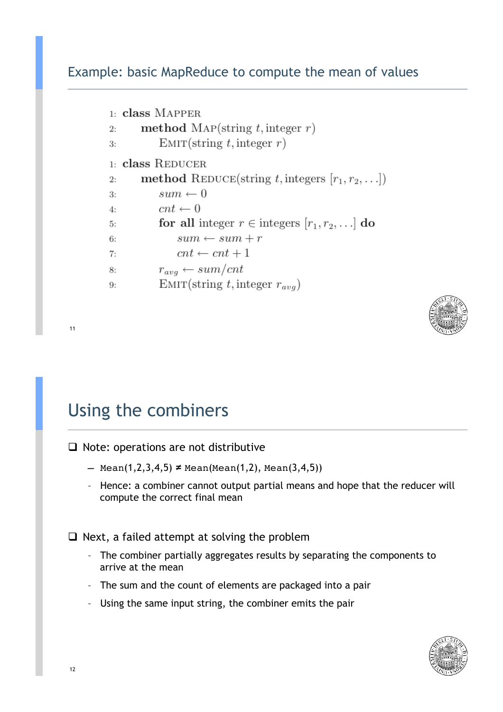#### Example: basic MapReduce to compute the mean of values

```
1: class MAPPER
       method MAP(string t, integer r)
2.EMIT(string t, integer r)
3:1: class REDUCER
       method REDUCE(string t, integers [r_1, r_2, \ldots])
2:sum \leftarrow 03:cnt \leftarrow 04:for all integer r \in integers [r_1, r_2, \ldots] do
5:
               sum \leftarrow sum + r6:
               cnt \leftarrow cnt + 17:r_{avg} \leftarrow sum/cnt8:
           EMIT(string t, integer r_{avg})
9:
```


 $\Box$  Note: operations are not distributive

- Mean(1,2,3,4,5) **≠** Mean(Mean(1,2), Mean(3,4,5))
- Hence: a combiner cannot output partial means and hope that the reducer will compute the correct final mean

 $\Box$  Next, a failed attempt at solving the problem

- The combiner partially aggregates results by separating the components to arrive at the mean
- The sum and the count of elements are packaged into a pair
- Using the same input string, the combiner emits the pair

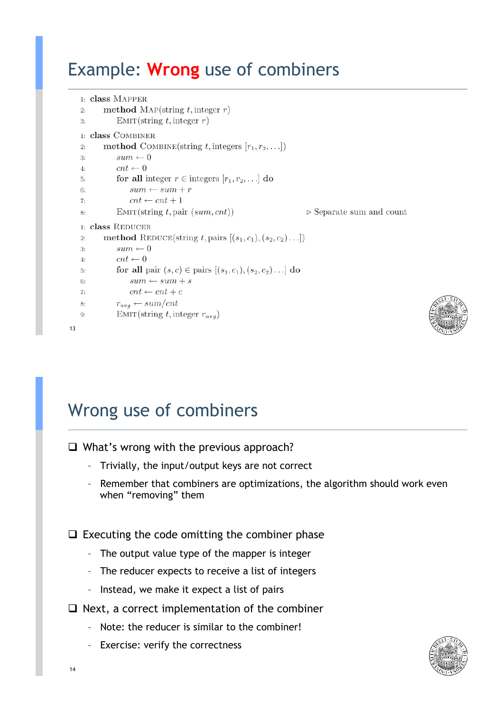### Example: **Wrong** use of combiners

```
1: class MAPPER
           method MAP(string t, integer r)
   2:EMIT(String t, integer r)3:1: class COMBINER
           method COMBINE(string t, integers [r_1, r_2, \ldots])
   2:\mathcal{R}sum \leftarrow 0cnt \leftarrow 04:for all integer r \in integers [r_1, r_2, \ldots] do
   5:
                   sum \leftarrow sum + r6:
                   cnt \leftarrow cnt + 17.EMIT(String t, pair (sum, cnt))\triangleright Separate sum and count
   \mathsf{R}1: class REDUCER
           method REDUCE(string t, pairs [(s_1, c_1), (s_2, c_2) \dots])
   2:sum \leftarrow 03:cnt \leftarrow 04:for all pair (s, c) \in \text{pairs } [(s_1, c_1), (s_2, c_2) \dots] do
   5:
   6<sup>1</sup>sum \leftarrow sum + s7:cnt \leftarrow cnt + c8:
               r_{avg} \leftarrow sum/cntEMIT(string t, integer r_{avg})
   9: 13
```


### Wrong use of combiners

```
\Box What's wrong with the previous approach?
```
- Trivially, the input/output keys are not correct
- Remember that combiners are optimizations, the algorithm should work even when "removing" them

 $\Box$  Executing the code omitting the combiner phase

- The output value type of the mapper is integer
- The reducer expects to receive a list of integers
- Instead, we make it expect a list of pairs
- $\Box$  Next, a correct implementation of the combiner
	- Note: the reducer is similar to the combiner!
	- Exercise: verify the correctness

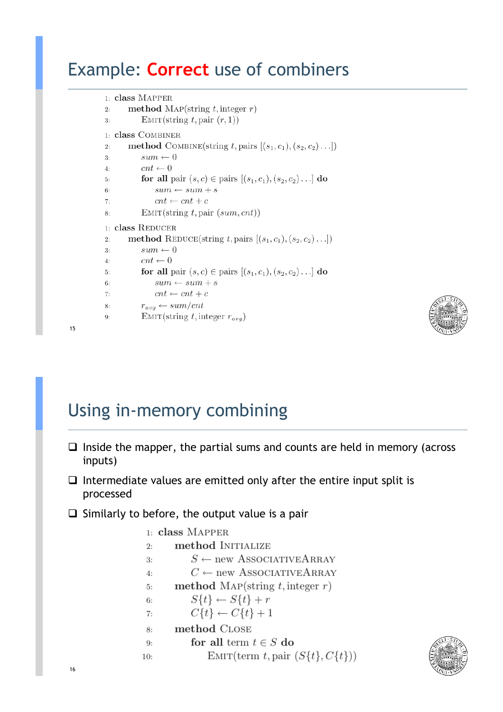### Example: **Correct** use of combiners

```
1: class MAPPER
        method MAP(string t, integer r)
\overline{2}EMIT(string t, pair (r, 1))
\overline{3}1: class COMBINER
       method COMBINE(string t, pairs [(s_1, c_1), (s_2, c_2), \ldots])
\overline{2}sum \leftarrow 03:cnt \leftarrow 04:for all pair (s, c) \in \text{pairs } [(s_1, c_1), (s_2, c_2) \dots] do
5:6:sum \leftarrow sum + scnt \leftarrow cnt + c7:EMIT(String t, pair (sum, cnt))\mathbf{R}1: class REDUCER
       method REDUCE(string t, pairs [(s_1, c_1), (s_2, c_2) \dots])
2.5\mathcal{R}sum \leftarrow 0cnt \leftarrow 04:for all pair (s, c) \in \text{pairs } [(s_1, c_1), (s_2, c_2) \dots] do
5:sum \leftarrow sum + s6:cnt \leftarrow cnt + c7:r_{avg} \leftarrow sum/cnt8:
            EMIT(string t, integer r_{avg})
9:
```


### Using in-memory combining

- $\Box$  Inside the mapper, the partial sums and counts are held in memory (across inputs)
- $\Box$  Intermediate values are emitted only after the entire input split is processed
- $\Box$  Similarly to before, the output value is a pair

```
1: class MAPPER
       method INITIALIZE
2:S \leftarrow new ASSOCIATIVEARRAY
3:C \leftarrow new ASSOCIATIVEARRAY
4:method MAP(string t, integer r)
5:
           S\{t\} \leftarrow S\{t\} + r6:
           C\{t\} \leftarrow C\{t\} + 17:method CLOSE
8:
           for all term t \in S do
9:
               EMIT(term t, pair (S{t}, C{t}))
10:
```
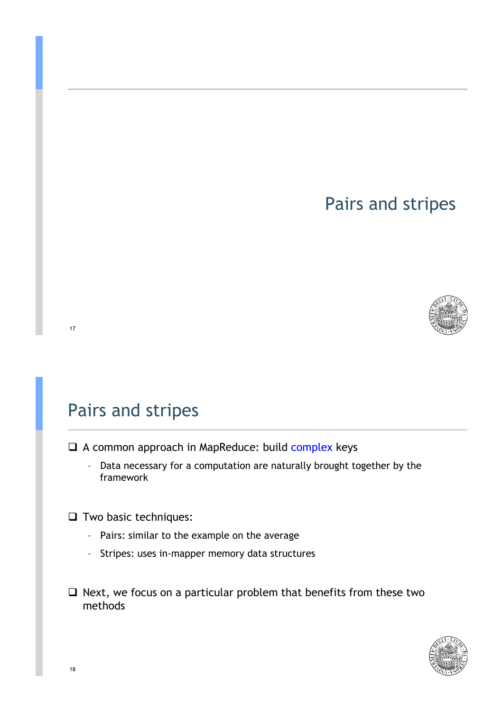### Pairs and stripes



### Pairs and stripes

- $\Box$  A common approach in MapReduce: build complex keys
	- Data necessary for a computation are naturally brought together by the framework
- $\Box$  Two basic techniques:
	- Pairs: similar to the example on the average
	- Stripes: uses in-mapper memory data structures
- $\Box$  Next, we focus on a particular problem that benefits from these two methods

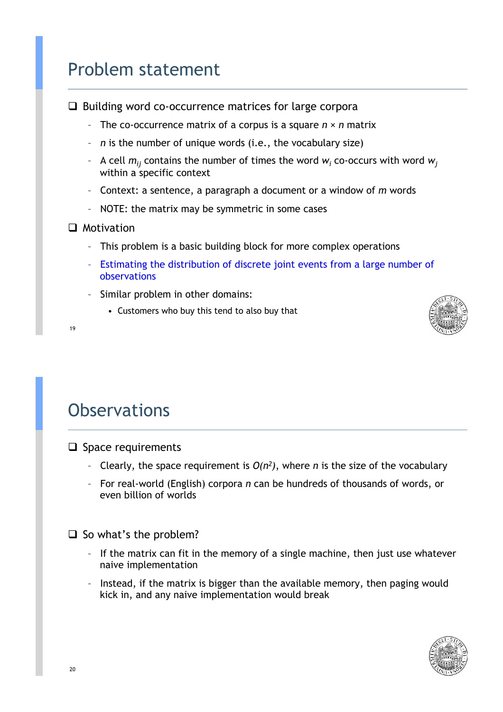### Problem statement

 $\Box$  Building word co-occurrence matrices for large corpora

- The co-occurrence matrix of a corpus is a square *n* × *n* matrix
- *n* is the number of unique words (i.e., the vocabulary size)
- $\,$  A cell  $m_{ij}$  contains the number of times the word  $w_j$  co-occurs with word  $w_j$ within a specific context
- Context: a sentence, a paragraph a document or a window of *m* words
- NOTE: the matrix may be symmetric in some cases

#### $\Box$  Motivation

19

- This problem is a basic building block for more complex operations
- Estimating the distribution of discrete joint events from a large number of observations
- Similar problem in other domains:
	- Customers who buy this tend to also buy that



# **Observations**

#### $\Box$  Space requirements

- Clearly, the space requirement is  $O(n^2)$ , where *n* is the size of the vocabulary
- For real-world (English) corpora *n* can be hundreds of thousands of words, or even billion of worlds

 $\Box$  So what's the problem?

- If the matrix can fit in the memory of a single machine, then just use whatever naive implementation
- Instead, if the matrix is bigger than the available memory, then paging would kick in, and any naive implementation would break

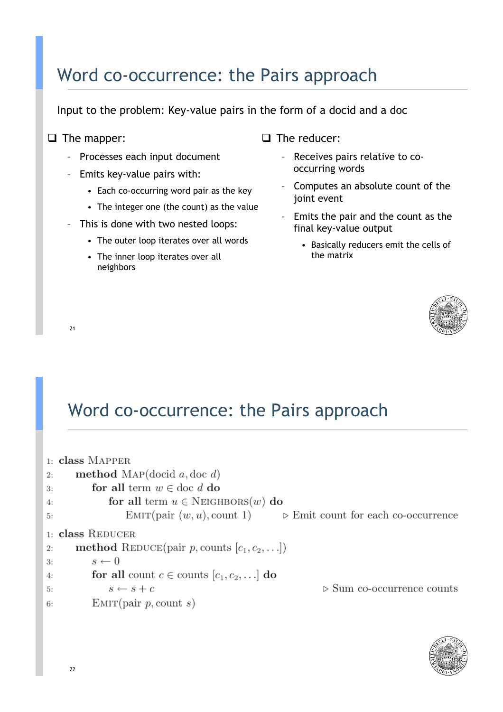### Word co-occurrence: the Pairs approach

Input to the problem: Key-value pairs in the form of a docid and a doc

#### $\Box$  The mapper:

- Processes each input document
- Emits key-value pairs with:
	- Each co-occurring word pair as the key
	- The integer one (the count) as the value
- This is done with two nested loops:
	- The outer loop iterates over all words
	- The inner loop iterates over all neighbors
- $\Box$  The reducer:
	- Receives pairs relative to cooccurring words
	- Computes an absolute count of the joint event
	- Emits the pair and the count as the final key-value output
		- Basically reducers emit the cells of the matrix



21

### Word co-occurrence: the Pairs approach

|    | $1:$ class MAPPER                                                                |
|----|----------------------------------------------------------------------------------|
| 2: | <b>method</b> MAP(docid $a,$ doc $d$ )                                           |
| 3: | for all term $w \in \text{doc } d$ do                                            |
| 4: | for all term $u \in$ NEIGHBORS $(w)$ do                                          |
| 5: | EMIT(pair $(w, u)$ , count 1) $\triangleright$ Emit count for each co-occurrence |
|    | $1:$ class REDUCER                                                               |
| 2: | method REDUCE(pair p, counts $[c_1, c_2,]$ )                                     |
| 3: | $s \leftarrow 0$                                                                 |
| 4: | for all count $c \in$ counts $[c_1, c_2, \ldots]$ do                             |
| 5: | $\triangleright$ Sum co-occurrence counts<br>$s \leftarrow s + c$                |
| 6: | EMIT(pair p, count s)                                                            |

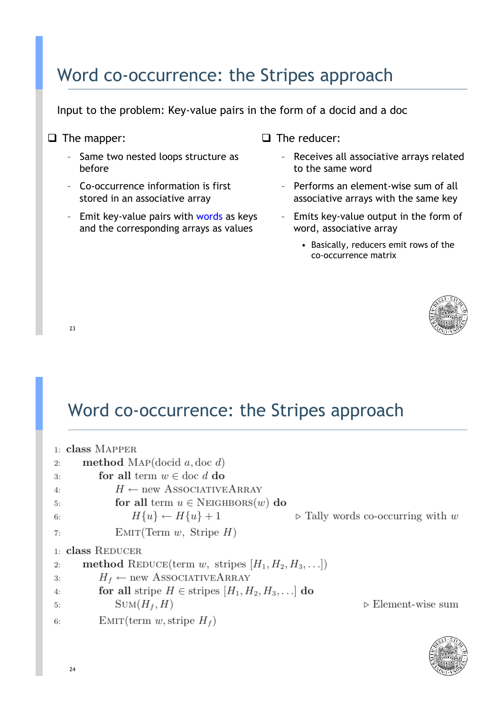### Word co-occurrence: the Stripes approach

Input to the problem: Key-value pairs in the form of a docid and a doc

- □ The mapper:
	- Same two nested loops structure as before
	- Co-occurrence information is first stored in an associative array
	- Emit key-value pairs with words as keys and the corresponding arrays as values
- $\Box$  The reducer:
	- Receives all associative arrays related to the same word
	- Performs an element-wise sum of all associative arrays with the same key
	- Emits key-value output in the form of word, associative array
		- Basically, reducers emit rows of the co-occurrence matrix



 $23$ 

### Word co-occurrence: the Stripes approach

|    | $1:$ class MAPPER                                                                  |
|----|------------------------------------------------------------------------------------|
| 2: | <b>method</b> MAP(docid $a,$ doc $d$ )                                             |
| 3: | for all term $w \in \text{doc } d$ do                                              |
| 4: | $H \leftarrow$ new ASSOCIATIVEARRAY                                                |
| 5: | for all term $u \in$ NEIGHBORS $(w)$ do                                            |
| 6: | $H\{u\} \leftarrow H\{u\} + 1$<br>$\triangleright$ Tally words co-occurring with w |
| 7: | EMIT(Term w, String H)                                                             |
|    | 1: class REDUCER                                                                   |
| 2: | method REDUCE(term w, stripes $[H_1, H_2, H_3, \ldots]$ )                          |
| 3: | $H_f \leftarrow$ new ASSOCIATIVEARRAY                                              |
| 4: | for all stripe $H \in$ stripes $[H_1, H_2, H_3, \ldots]$ do                        |
| 5: | $Sum(H_f, H)$<br>$\triangleright$ Element-wise sum                                 |
| 6: | EMIT(term w, stripe $H_f$ )                                                        |

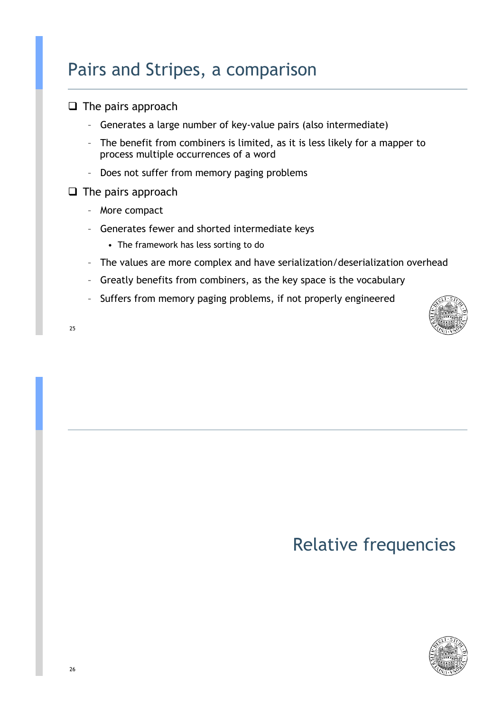### Pairs and Stripes, a comparison

- $\Box$  The pairs approach
	- Generates a large number of key-value pairs (also intermediate)
	- The benefit from combiners is limited, as it is less likely for a mapper to process multiple occurrences of a word
	- Does not suffer from memory paging problems

#### $\Box$  The pairs approach

- More compact
- Generates fewer and shorted intermediate keys
	- The framework has less sorting to do
- The values are more complex and have serialization/deserialization overhead
- Greatly benefits from combiners, as the key space is the vocabulary
- Suffers from memory paging problems, if not properly engineered



25

### Relative frequencies

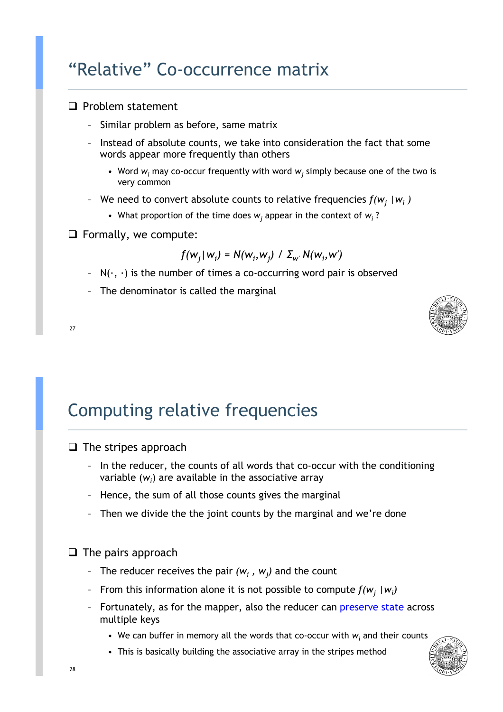### "Relative" Co-occurrence matrix

#### $\Box$  Problem statement

- Similar problem as before, same matrix
- Instead of absolute counts, we take into consideration the fact that some words appear more frequently than others
	- Word  $w_i$  may co-occur frequently with word  $w_j$  simply because one of the two is very common
- We need to convert absolute counts to relative frequencies  $f(w_j | w_i)$ 
	- What proportion of the time does  $w_j$  appear in the context of  $w_j$ ?
- $\Box$  Formally, we compute:

$$
f(w_j | w_j) = N(w_i, w_j) / \sum_{w'} N(w_i, w')
$$

- $N(\cdot, \cdot)$  is the number of times a co-occurring word pair is observed
- The denominator is called the marginal





### Computing relative frequencies

 $\Box$  The stripes approach

- In the reducer, the counts of all words that co-occur with the conditioning variable  $(w_i)$  are available in the associative array
- Hence, the sum of all those counts gives the marginal
- Then we divide the the joint counts by the marginal and we're done

 $\Box$  The pairs approach

- The reducer receives the pair  $(w_i, w_j)$  and the count
- From this information alone it is not possible to compute  $f(w_j | w_i)$
- Fortunately, as for the mapper, also the reducer can preserve state across multiple keys
	- We can buffer in memory all the words that co-occur with  $w_i$  and their counts
	- This is basically building the associative array in the stripes method

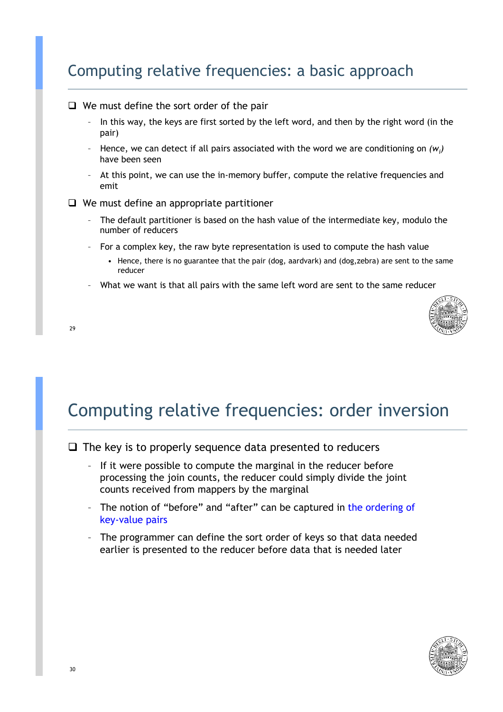### Computing relative frequencies: a basic approach

#### $\Box$  We must define the sort order of the pair

- In this way, the keys are first sorted by the left word, and then by the right word (in the pair)
- Hence, we can detect if all pairs associated with the word we are conditioning on *(wi )* have been seen
- At this point, we can use the in-memory buffer, compute the relative frequencies and emit
- $\Box$  We must define an appropriate partitioner
	- The default partitioner is based on the hash value of the intermediate key, modulo the number of reducers
	- For a complex key, the raw byte representation is used to compute the hash value
		- Hence, there is no guarantee that the pair (dog, aardvark) and (dog,zebra) are sent to the same reducer
	- What we want is that all pairs with the same left word are sent to the same reducer



#### 29

### Computing relative frequencies: order inversion

#### $\Box$  The key is to properly sequence data presented to reducers

- If it were possible to compute the marginal in the reducer before processing the join counts, the reducer could simply divide the joint counts received from mappers by the marginal
- The notion of "before" and "after" can be captured in the ordering of key-value pairs
- The programmer can define the sort order of keys so that data needed earlier is presented to the reducer before data that is needed later

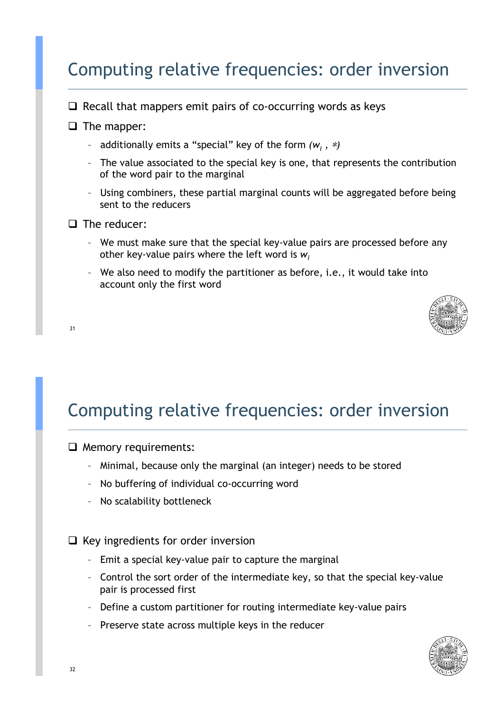### Computing relative frequencies: order inversion

- $\Box$  Recall that mappers emit pairs of co-occurring words as keys
- $\Box$  The mapper:
	- additionally emits a "special" key of the form  $(w_i, \, \ast)$
	- The value associated to the special key is one, that represents the contribution of the word pair to the marginal
	- Using combiners, these partial marginal counts will be aggregated before being sent to the reducers
- $\Box$  The reducer:

31

- We must make sure that the special key-value pairs are processed before any other key-value pairs where the left word is *wi*
- We also need to modify the partitioner as before, i.e., it would take into account only the first word



Computing relative frequencies: order inversion

 $\Box$  Memory requirements:

- Minimal, because only the marginal (an integer) needs to be stored
- No buffering of individual co-occurring word
- No scalability bottleneck

 $\Box$  Key ingredients for order inversion

- Emit a special key-value pair to capture the marginal
- Control the sort order of the intermediate key, so that the special key-value pair is processed first
- Define a custom partitioner for routing intermediate key-value pairs
- Preserve state across multiple keys in the reducer

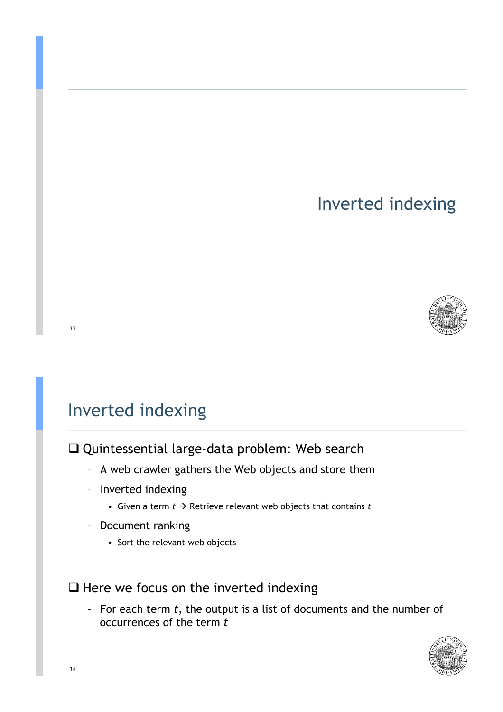### Inverted indexing



### Inverted indexing

 $\Box$  Quintessential large-data problem: Web search

- A web crawler gathers the Web objects and store them
- Inverted indexing
	- Given a term  $t \to$  Retrieve relevant web objects that contains  $t$
- Document ranking
	- Sort the relevant web objects

#### $\Box$  Here we focus on the inverted indexing

– For each term *t*, the output is a list of documents and the number of occurrences of the term *t*